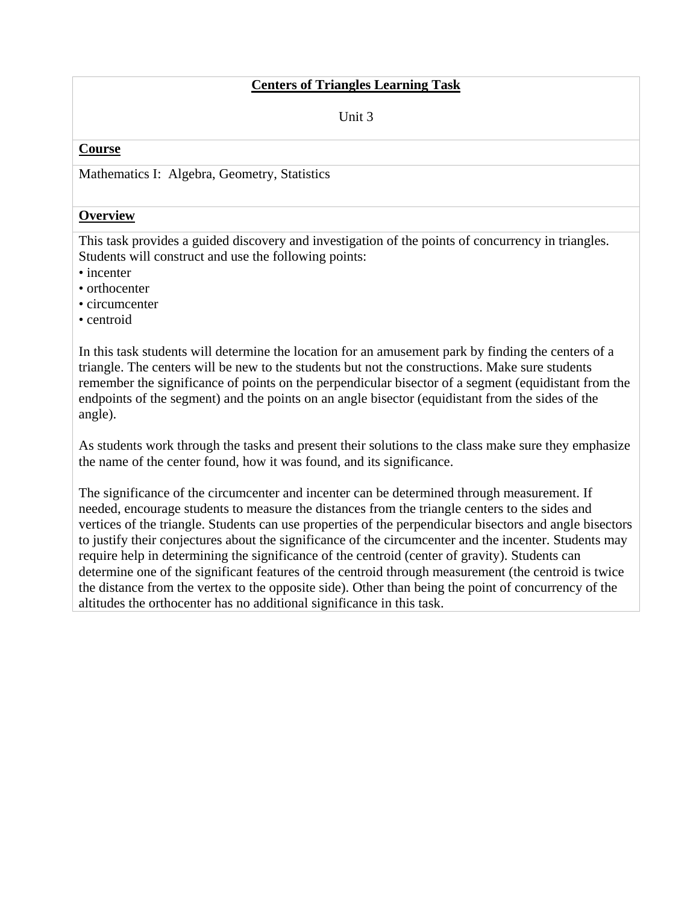### **Centers of Triangles Learning Task**

Unit 3

#### **Course**

Mathematics I: Algebra, Geometry, Statistics

#### **Overview**

This task provides a guided discovery and investigation of the points of concurrency in triangles. Students will construct and use the following points:

- incenter
- orthocenter
- circumcenter
- centroid

In this task students will determine the location for an amusement park by finding the centers of a triangle. The centers will be new to the students but not the constructions. Make sure students remember the significance of points on the perpendicular bisector of a segment (equidistant from the endpoints of the segment) and the points on an angle bisector (equidistant from the sides of the angle).

As students work through the tasks and present their solutions to the class make sure they emphasize the name of the center found, how it was found, and its significance.

The significance of the circumcenter and incenter can be determined through measurement. If needed, encourage students to measure the distances from the triangle centers to the sides and vertices of the triangle. Students can use properties of the perpendicular bisectors and angle bisectors to justify their conjectures about the significance of the circumcenter and the incenter. Students may require help in determining the significance of the centroid (center of gravity). Students can determine one of the significant features of the centroid through measurement (the centroid is twice the distance from the vertex to the opposite side). Other than being the point of concurrency of the altitudes the orthocenter has no additional significance in this task.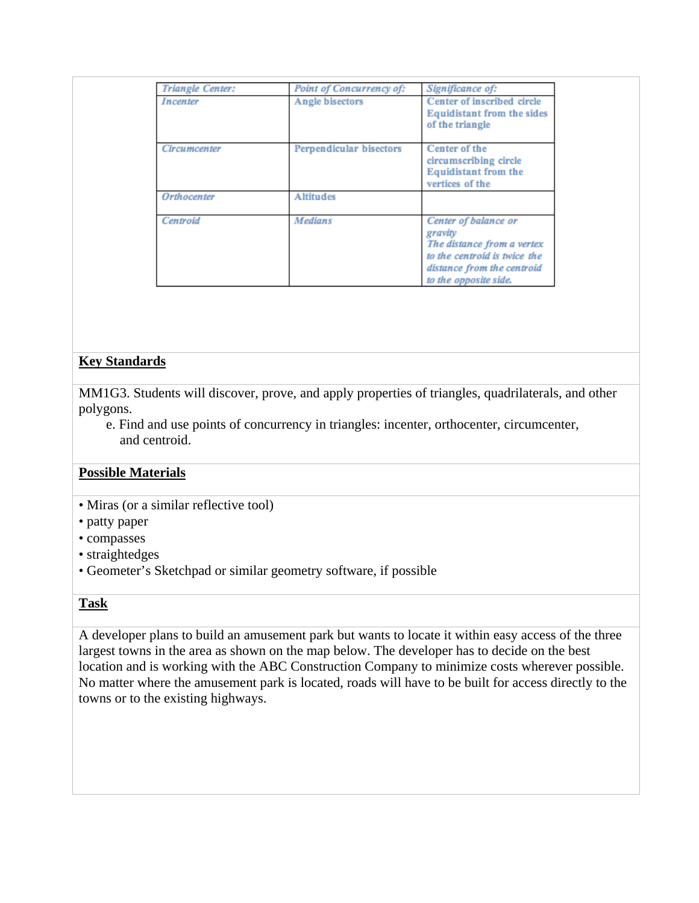| <b>Triangle Center:</b> | <b>Point of Concurrency of:</b> | Significance of:                                                                                                                                     |
|-------------------------|---------------------------------|------------------------------------------------------------------------------------------------------------------------------------------------------|
| Incenter                | Angle bisectors                 | Center of inscribed circle<br><b>Equidistant from the sides</b><br>of the triangle                                                                   |
| Circumcenter            | <b>Perpendicular bisectors</b>  | Center of the<br>circumscribing circle<br><b>Equidistant from the</b><br>vertices of the                                                             |
| <b>Orthocenter</b>      | <b>Altitudes</b>                |                                                                                                                                                      |
| Centroid                | <b>Medians</b>                  | Center of balance or<br>gravity<br>The distance from a vertex<br>to the centroid is twice the<br>distance from the centroid<br>to the opposite side. |

# **Key Standards**

MM1G3. Students will discover, prove, and apply properties of triangles, quadrilaterals, and other polygons.

 e. Find and use points of concurrency in triangles: incenter, orthocenter, circumcenter, and centroid.

# **Possible Materials**

- Miras (or a similar reflective tool)
- patty paper
- compasses
- straightedges
- Geometer's Sketchpad or similar geometry software, if possible

### **Task**

A developer plans to build an amusement park but wants to locate it within easy access of the three largest towns in the area as shown on the map below. The developer has to decide on the best location and is working with the ABC Construction Company to minimize costs wherever possible. No matter where the amusement park is located, roads will have to be built for access directly to the towns or to the existing highways.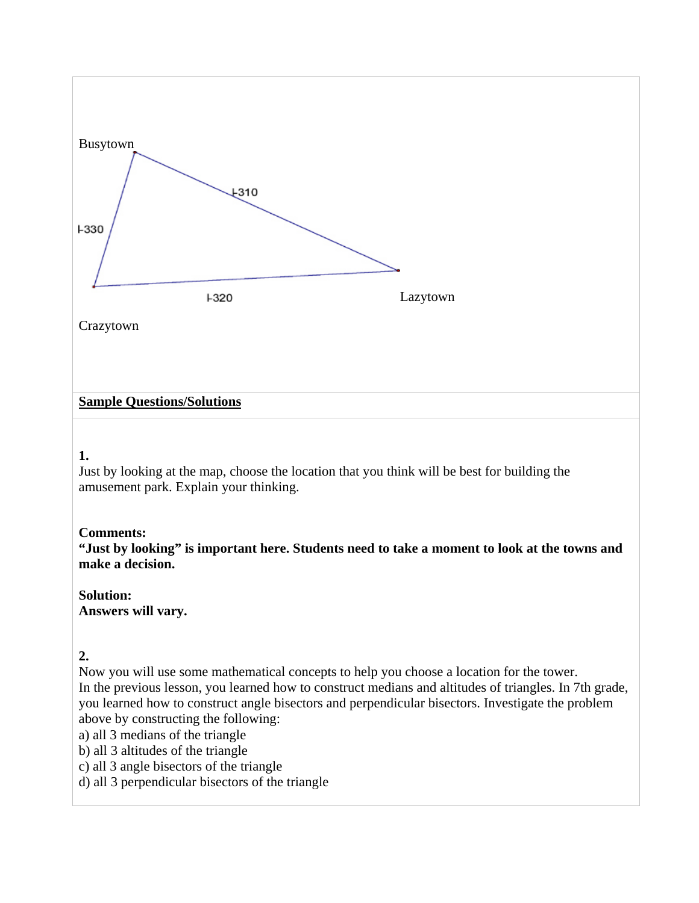

### **1.**

Just by looking at the map, choose the location that you think will be best for building the amusement park. Explain your thinking.

# **Comments:**

**"Just by looking" is important here. Students need to take a moment to look at the towns and make a decision.** 

### **Solution: Answers will vary.**

# **2.**

Now you will use some mathematical concepts to help you choose a location for the tower. In the previous lesson, you learned how to construct medians and altitudes of triangles. In 7th grade, you learned how to construct angle bisectors and perpendicular bisectors. Investigate the problem above by constructing the following:

a) all 3 medians of the triangle

b) all 3 altitudes of the triangle

c) all 3 angle bisectors of the triangle

d) all 3 perpendicular bisectors of the triangle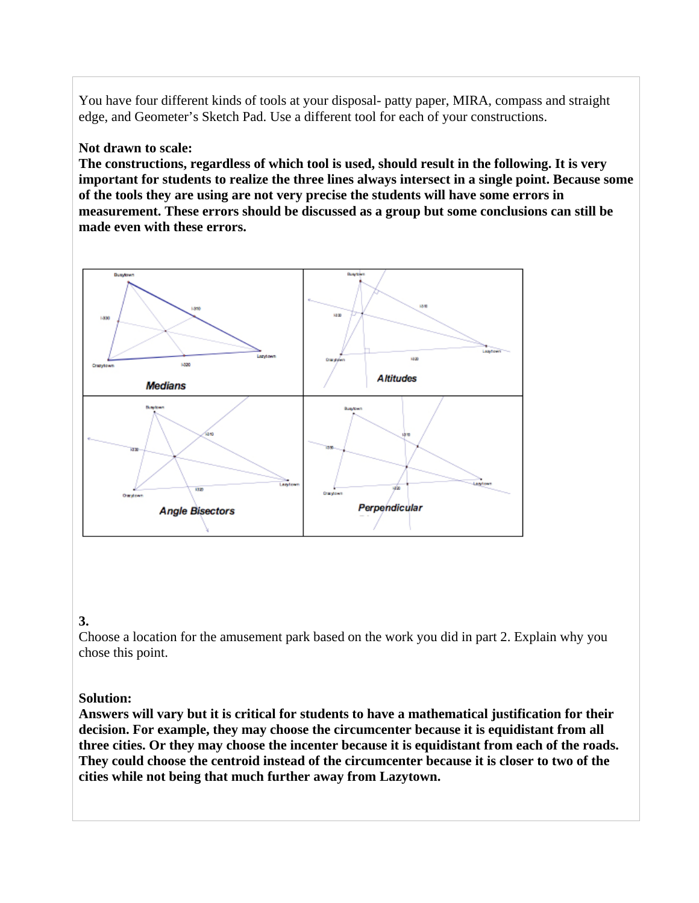You have four different kinds of tools at your disposal- patty paper, MIRA, compass and straight edge, and Geometer's Sketch Pad. Use a different tool for each of your constructions.

### **Not drawn to scale:**

**The constructions, regardless of which tool is used, should result in the following. It is very important for students to realize the three lines always intersect in a single point. Because some of the tools they are using are not very precise the students will have some errors in measurement. These errors should be discussed as a group but some conclusions can still be made even with these errors.**



### **3.**

Choose a location for the amusement park based on the work you did in part 2. Explain why you chose this point.

### **Solution:**

**Answers will vary but it is critical for students to have a mathematical justification for their decision. For example, they may choose the circumcenter because it is equidistant from all three cities. Or they may choose the incenter because it is equidistant from each of the roads. They could choose the centroid instead of the circumcenter because it is closer to two of the cities while not being that much further away from Lazytown.**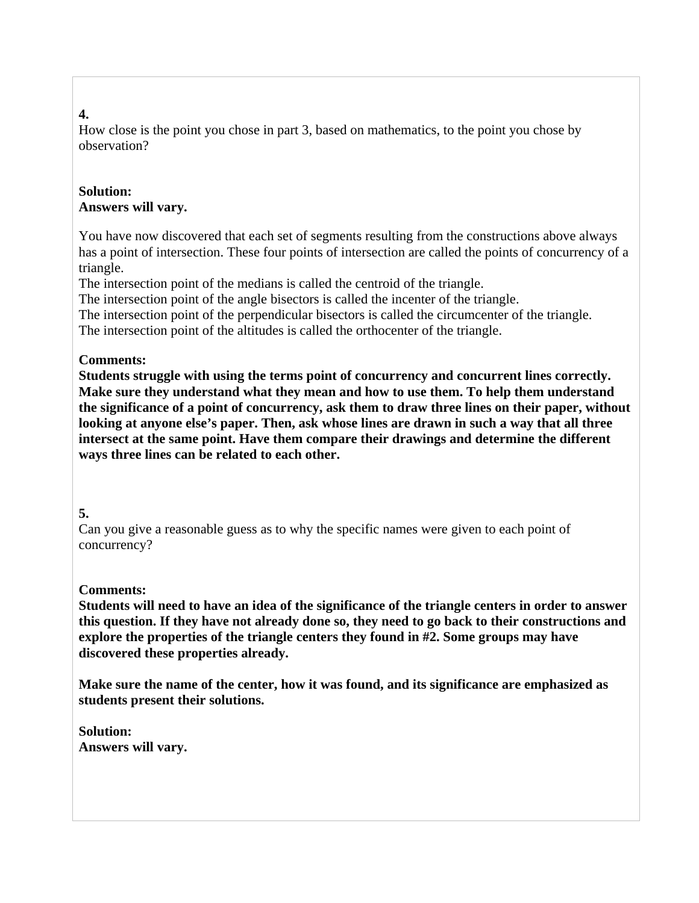# **4.**

How close is the point you chose in part 3, based on mathematics, to the point you chose by observation?

# **Solution: Answers will vary.**

You have now discovered that each set of segments resulting from the constructions above always has a point of intersection. These four points of intersection are called the points of concurrency of a triangle.

The intersection point of the medians is called the centroid of the triangle.

The intersection point of the angle bisectors is called the incenter of the triangle.

The intersection point of the perpendicular bisectors is called the circumcenter of the triangle. The intersection point of the altitudes is called the orthocenter of the triangle.

# **Comments:**

**Students struggle with using the terms point of concurrency and concurrent lines correctly. Make sure they understand what they mean and how to use them. To help them understand the significance of a point of concurrency, ask them to draw three lines on their paper, without looking at anyone else's paper. Then, ask whose lines are drawn in such a way that all three intersect at the same point. Have them compare their drawings and determine the different ways three lines can be related to each other.** 

# **5.**

Can you give a reasonable guess as to why the specific names were given to each point of concurrency?

# **Comments:**

**Students will need to have an idea of the significance of the triangle centers in order to answer this question. If they have not already done so, they need to go back to their constructions and explore the properties of the triangle centers they found in #2. Some groups may have discovered these properties already.** 

**Make sure the name of the center, how it was found, and its significance are emphasized as students present their solutions.** 

**Solution: Answers will vary.**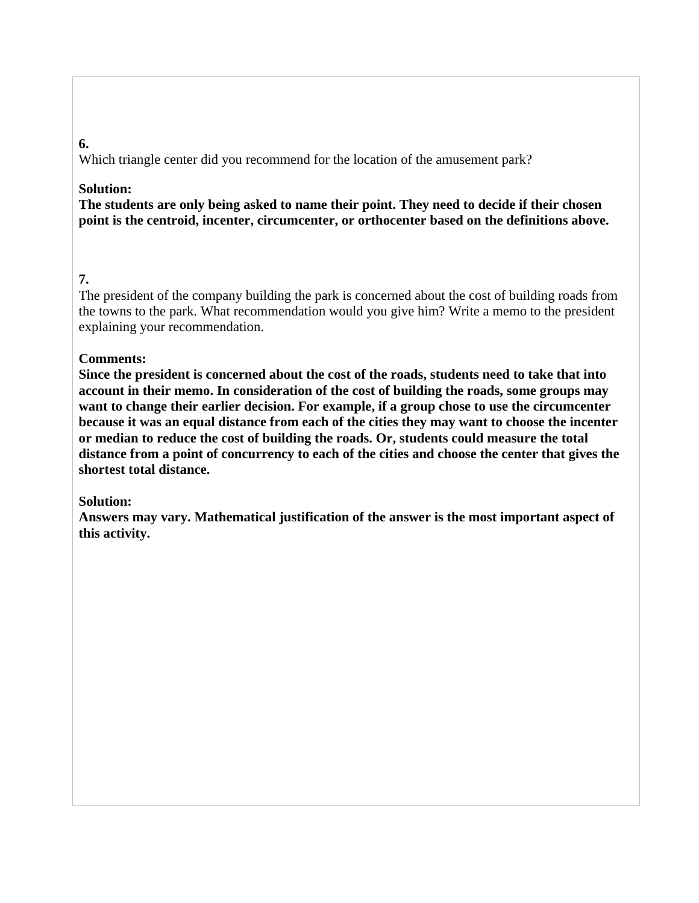# **6.**

Which triangle center did you recommend for the location of the amusement park?

### **Solution:**

**The students are only being asked to name their point. They need to decide if their chosen point is the centroid, incenter, circumcenter, or orthocenter based on the definitions above.** 

# **7.**

The president of the company building the park is concerned about the cost of building roads from the towns to the park. What recommendation would you give him? Write a memo to the president explaining your recommendation.

# **Comments:**

**Since the president is concerned about the cost of the roads, students need to take that into account in their memo. In consideration of the cost of building the roads, some groups may want to change their earlier decision. For example, if a group chose to use the circumcenter because it was an equal distance from each of the cities they may want to choose the incenter or median to reduce the cost of building the roads. Or, students could measure the total distance from a point of concurrency to each of the cities and choose the center that gives the shortest total distance.** 

# **Solution:**

**Answers may vary. Mathematical justification of the answer is the most important aspect of this activity.**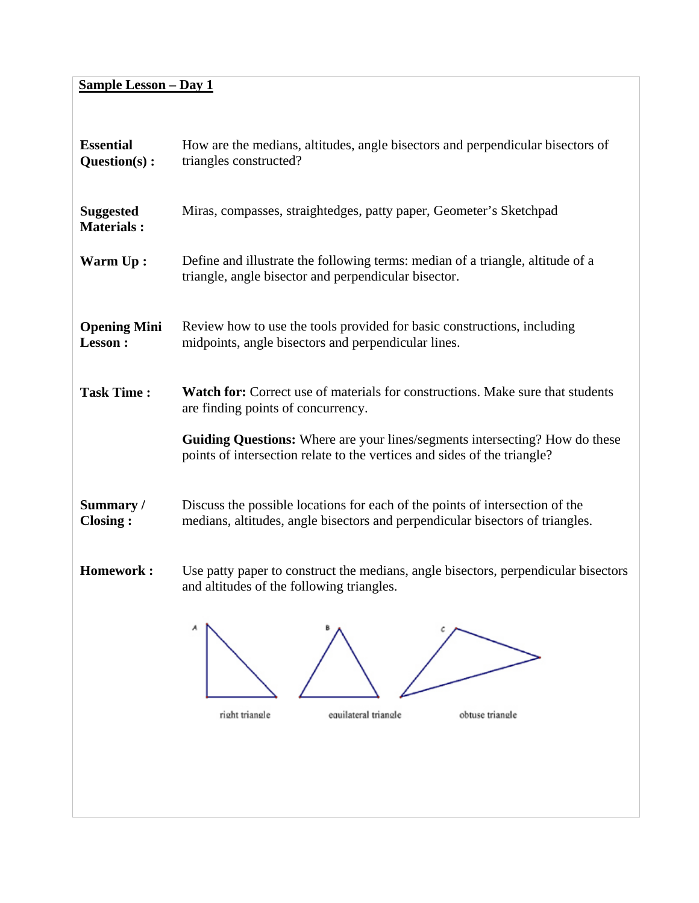# **Sample Lesson – Day 1**